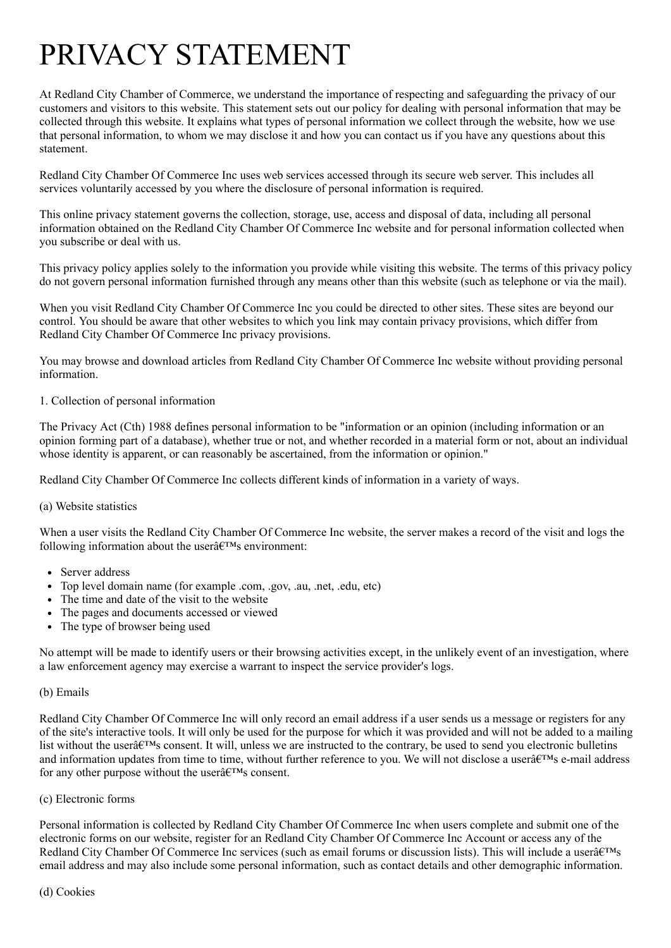# PRIVACY STATEMENT

At Redland City Chamber of Commerce, we understand the importance of respecting and safeguarding the privacy of our customers and visitors to this website. This statement sets out our policy for dealing with personal information that may be collected through this website. It explains what types of personal information we collect through the website, how we use that personal information, to whom we may disclose it and how you can contact us if you have any questions about this statement.

Redland City Chamber Of Commerce Inc uses web services accessed through its secure web server. This includes all services voluntarily accessed by you where the disclosure of personal information is required.

This online privacy statement governs the collection, storage, use, access and disposal of data, including all personal information obtained on the Redland City Chamber Of Commerce Inc website and for personal information collected when you subscribe or deal with us.

This privacy policy applies solely to the information you provide while visiting this website. The terms of this privacy policy do not govern personal information furnished through any means other than this website (such as telephone or via the mail).

When you visit Redland City Chamber Of Commerce Inc you could be directed to other sites. These sites are beyond our control. You should be aware that other websites to which you link may contain privacy provisions, which differ from Redland City Chamber Of Commerce Inc privacy provisions.

You may browse and download articles from Redland City Chamber Of Commerce Inc website without providing personal information.

# 1. Collection of personal information

The Privacy Act (Cth) 1988 defines personal information to be "information or an opinion (including information or an opinion forming part of a database), whether true or not, and whether recorded in a material form or not, about an individual whose identity is apparent, or can reasonably be ascertained, from the information or opinion."

Redland City Chamber Of Commerce Inc collects different kinds of information in a variety of ways.

# (a) Website statistics

When a user visits the Redland City Chamber Of Commerce Inc website, the server makes a record of the visit and logs the following information about the user $\hat{a} \in T^{M}$ s environment:

- Server address
- Top level domain name (for example .com, .gov, .au, .net, .edu, etc)
- The time and date of the visit to the website
- The pages and documents accessed or viewed
- The type of browser being used

No attempt will be made to identify users or their browsing activities except, in the unlikely event of an investigation, where a law enforcement agency may exercise a warrant to inspect the service provider's logs.

#### (b) Emails

Redland City Chamber Of Commerce Inc will only record an email address if a user sends us a message or registers for any of the site's interactive tools. It will only be used for the purpose for which it was provided and will not be added to a mailing list without the user $\hat{\mathfrak{g}}$ <sup>TM</sup>s consent. It will, unless we are instructed to the contrary, be used to send you electronic bulletins and information updates from time to time, without further reference to you. We will not disclose a user $\hat{a} \in T^M$ s e-mail address for any other purpose without the user $\hat{\mathfrak{a}} \in T^M$ s consent.

#### (c) Electronic forms

Personal information is collected by Redland City Chamber Of Commerce Inc when users complete and submit one of the electronic forms on our website, register for an Redland City Chamber Of Commerce Inc Account or access any of the Redland City Chamber Of Commerce Inc services (such as email forums or discussion lists). This will include a user $\hat{a}\in\mathbb{N}$ s email address and may also include some personal information, such as contact details and other demographic information.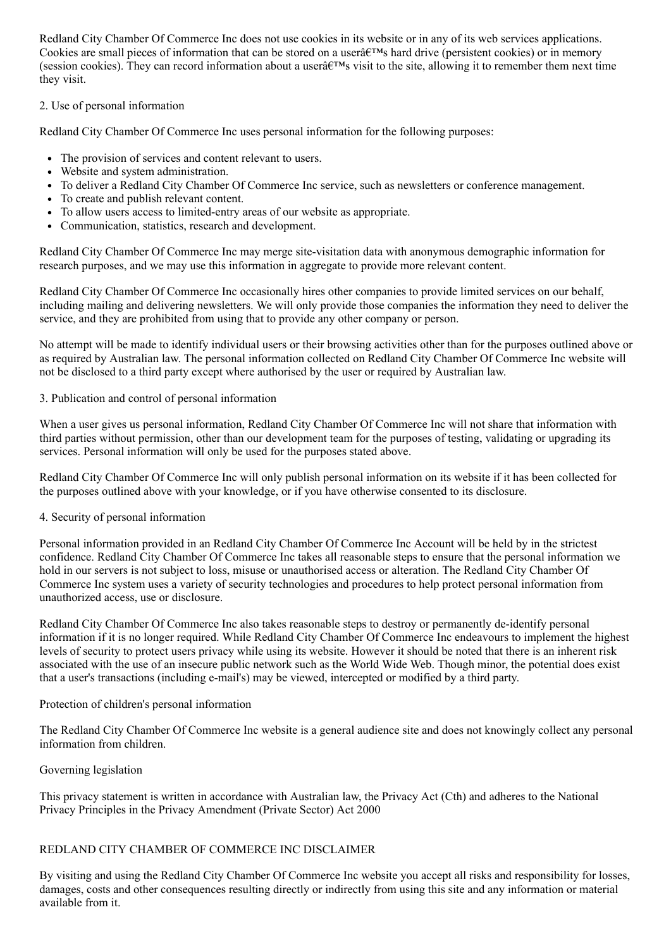Redland City Chamber Of Commerce Inc does not use cookies in its website or in any of its web services applications. Cookies are small pieces of information that can be stored on a user $\hat{a} \in T^{M}$ s hard drive (persistent cookies) or in memory (session cookies). They can record information about a user $\hat{a} \in T^M$ s visit to the site, allowing it to remember them next time they visit.

# 2. Use of personal information

Redland City Chamber Of Commerce Inc uses personal information for the following purposes:

- The provision of services and content relevant to users.
- Website and system administration.
- To deliver a Redland City Chamber Of Commerce Inc service, such as newsletters or conference management.
- To create and publish relevant content.
- To allow users access to limited-entry areas of our website as appropriate.
- Communication, statistics, research and development.

Redland City Chamber Of Commerce Inc may merge site-visitation data with anonymous demographic information for research purposes, and we may use this information in aggregate to provide more relevant content.

Redland City Chamber Of Commerce Inc occasionally hires other companies to provide limited services on our behalf, including mailing and delivering newsletters. We will only provide those companies the information they need to deliver the service, and they are prohibited from using that to provide any other company or person.

No attempt will be made to identify individual users or their browsing activities other than for the purposes outlined above or as required by Australian law. The personal information collected on Redland City Chamber Of Commerce Inc website will not be disclosed to a third party except where authorised by the user or required by Australian law.

# 3. Publication and control of personal information

When a user gives us personal information, Redland City Chamber Of Commerce Inc will not share that information with third parties without permission, other than our development team for the purposes of testing, validating or upgrading its services. Personal information will only be used for the purposes stated above.

Redland City Chamber Of Commerce Inc will only publish personal information on its website if it has been collected for the purposes outlined above with your knowledge, or if you have otherwise consented to its disclosure.

# 4. Security of personal information

Personal information provided in an Redland City Chamber Of Commerce Inc Account will be held by in the strictest confidence. Redland City Chamber Of Commerce Inc takes all reasonable steps to ensure that the personal information we hold in our servers is not subject to loss, misuse or unauthorised access or alteration. The Redland City Chamber Of Commerce Inc system uses a variety of security technologies and procedures to help protect personal information from unauthorized access, use or disclosure.

Redland City Chamber Of Commerce Inc also takes reasonable steps to destroy or permanently de-identify personal information if it is no longer required. While Redland City Chamber Of Commerce Inc endeavours to implement the highest levels of security to protect users privacy while using its website. However it should be noted that there is an inherent risk associated with the use of an insecure public network such as the World Wide Web. Though minor, the potential does exist that a user's transactions (including e-mail's) may be viewed, intercepted or modified by a third party.

# Protection of children's personal information

The Redland City Chamber Of Commerce Inc website is a general audience site and does not knowingly collect any personal information from children.

# Governing legislation

This privacy statement is written in accordance with Australian law, the Privacy Act (Cth) and adheres to the National Privacy Principles in the Privacy Amendment (Private Sector) Act 2000

# REDLAND CITY CHAMBER OF COMMERCE INC DISCLAIMER

By visiting and using the Redland City Chamber Of Commerce Inc website you accept all risks and responsibility for losses, damages, costs and other consequences resulting directly or indirectly from using this site and any information or material available from it.